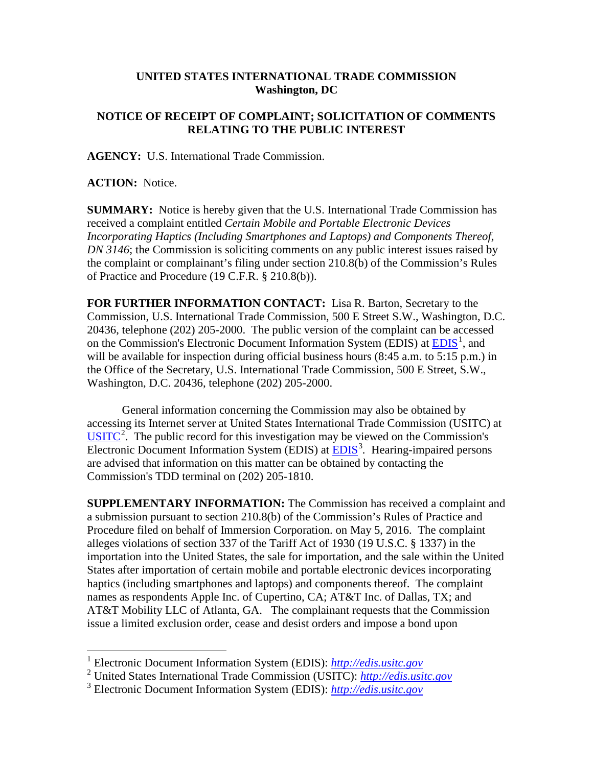## **UNITED STATES INTERNATIONAL TRADE COMMISSION Washington, DC**

## **NOTICE OF RECEIPT OF COMPLAINT; SOLICITATION OF COMMENTS RELATING TO THE PUBLIC INTEREST**

**AGENCY:** U.S. International Trade Commission.

**ACTION:** Notice.

**SUMMARY:** Notice is hereby given that the U.S. International Trade Commission has received a complaint entitled *Certain Mobile and Portable Electronic Devices Incorporating Haptics (Including Smartphones and Laptops) and Components Thereof, DN 3146*; the Commission is soliciting comments on any public interest issues raised by the complaint or complainant's filing under section 210.8(b) of the Commission's Rules of Practice and Procedure (19 C.F.R. § 210.8(b)).

**FOR FURTHER INFORMATION CONTACT:** Lisa R. Barton, Secretary to the Commission, U.S. International Trade Commission, 500 E Street S.W., Washington, D.C. 20436, telephone (202) 205-2000. The public version of the complaint can be accessed on the Commission's Electronic Document Information System (EDIS) at  $\underline{EDIS}^1$  $\underline{EDIS}^1$ , and will be available for inspection during official business hours (8:45 a.m. to 5:15 p.m.) in the Office of the Secretary, U.S. International Trade Commission, 500 E Street, S.W., Washington, D.C. 20436, telephone (202) 205-2000.

General information concerning the Commission may also be obtained by accessing its Internet server at United States International Trade Commission (USITC) at  $\overline{USTTC}^2$  $\overline{USTTC}^2$ . The public record for this investigation may be viewed on the Commission's Electronic Document Information System (EDIS) at **EDIS**<sup>[3](#page-0-2)</sup>. Hearing-impaired persons are advised that information on this matter can be obtained by contacting the Commission's TDD terminal on (202) 205-1810.

**SUPPLEMENTARY INFORMATION:** The Commission has received a complaint and a submission pursuant to section 210.8(b) of the Commission's Rules of Practice and Procedure filed on behalf of Immersion Corporation. on May 5, 2016. The complaint alleges violations of section 337 of the Tariff Act of 1930 (19 U.S.C. § 1337) in the importation into the United States, the sale for importation, and the sale within the United States after importation of certain mobile and portable electronic devices incorporating haptics (including smartphones and laptops) and components thereof. The complaint names as respondents Apple Inc. of Cupertino, CA; AT&T Inc. of Dallas, TX; and AT&T Mobility LLC of Atlanta, GA. The complainant requests that the Commission issue a limited exclusion order, cease and desist orders and impose a bond upon

 <sup>1</sup> Electronic Document Information System (EDIS): *[http://edis.usitc.gov](http://edis.usitc.gov/)*

<span id="page-0-1"></span><span id="page-0-0"></span><sup>2</sup> United States International Trade Commission (USITC): *[http://edis.usitc.gov](http://edis.usitc.gov/)*

<span id="page-0-2"></span><sup>3</sup> Electronic Document Information System (EDIS): *[http://edis.usitc.gov](http://edis.usitc.gov/)*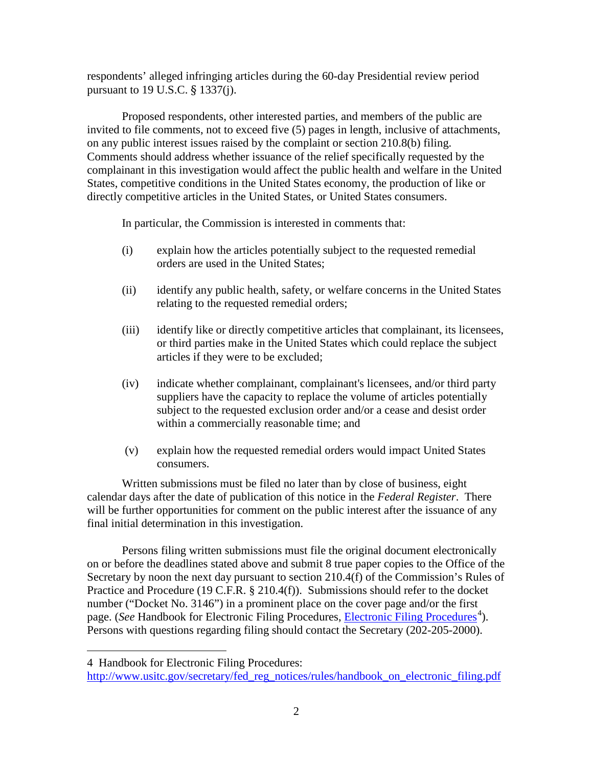respondents' alleged infringing articles during the 60-day Presidential review period pursuant to 19 U.S.C. § 1337(j).

Proposed respondents, other interested parties, and members of the public are invited to file comments, not to exceed five (5) pages in length, inclusive of attachments, on any public interest issues raised by the complaint or section 210.8(b) filing. Comments should address whether issuance of the relief specifically requested by the complainant in this investigation would affect the public health and welfare in the United States, competitive conditions in the United States economy, the production of like or directly competitive articles in the United States, or United States consumers.

In particular, the Commission is interested in comments that:

- (i) explain how the articles potentially subject to the requested remedial orders are used in the United States;
- (ii) identify any public health, safety, or welfare concerns in the United States relating to the requested remedial orders;
- (iii) identify like or directly competitive articles that complainant, its licensees, or third parties make in the United States which could replace the subject articles if they were to be excluded;
- (iv) indicate whether complainant, complainant's licensees, and/or third party suppliers have the capacity to replace the volume of articles potentially subject to the requested exclusion order and/or a cease and desist order within a commercially reasonable time; and
- (v) explain how the requested remedial orders would impact United States consumers.

Written submissions must be filed no later than by close of business, eight calendar days after the date of publication of this notice in the *Federal Register*. There will be further opportunities for comment on the public interest after the issuance of any final initial determination in this investigation.

Persons filing written submissions must file the original document electronically on or before the deadlines stated above and submit 8 true paper copies to the Office of the Secretary by noon the next day pursuant to section 210.4(f) of the Commission's Rules of Practice and Procedure (19 C.F.R. § 210.4(f)). Submissions should refer to the docket number ("Docket No. 3146") in a prominent place on the cover page and/or the first page. (*See* Handbook for [Electronic Filing Procedures](http://www.usitc.gov/secretary/fed_reg_notices/rules/handbook_on_electronic_filing.pdf), *Electronic Filing Procedures*<sup>[4](#page-1-0)</sup>). Persons with questions regarding filing should contact the Secretary (202-205-2000).

 $\overline{a}$ 

<span id="page-1-0"></span><sup>4</sup> Handbook for Electronic Filing Procedures:

http://www.usitc.gov/secretary/fed\_reg\_notices/rules/handbook\_on\_electronic\_filing.pdf